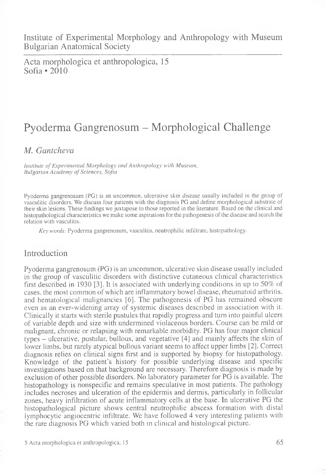Acta morphologica et anthropologica, 15 Sofia \*2010

# Pyoderma Gangrenosum - Morphological Challenge

# *M. Gantcheva*

*Institute of Experimental Morphology and Anthropology with Museum, Bulgarian Academy of Sciences, Sofia* 

Pyoderma gangrenosum (PG) is an uncommon, ulcerative skin disease usually included in the group of vasculitic disorders. We discuss four patients with the diagnosis PG and define morphological substrate of their skin lesions. These findings we juxtapose to those reported in the literature. Based on the clinical and histopathological characteristics we make some aspirations for the pathogenesis of the disease and search the relation with vasculitis.

*K e y w o rd s:* Pyoderma gangrenosum, vasculitis, neutrophilic infiltrate, histopathology.

### Introduction

Pyoderma gangrenosum (PG) is an uncommon, ulcerative skin disease usually included in the group of vasculitic disorders with distinctive cutaneous clinical characteristics first described in 1930 [3]. It is associated with underlying conditions in up to 50% of cases, the most common of which are inflammatory bowel disease, rheumatoid arthritis, and hematological malignancies [6]. The pathogenesis of PG has remained obscure even as an ever-widening array of systemic diseases described in association with it. Clinically it starts with sterile pustules that rapidly progress and turn into painful ulcers of variable depth and size with undermined violaceous borders. Course can be mild or malignant, chronic or relapsing with remarkable morbidity. PG has four major clinical types - ulcerative, pustular, bullous, and vegetative [4] and mainly affects the skin of lower limbs, but rarely atypical bullous variant seems to affect upper limbs [2]. Correct diagnosis relies on clinical signs first and is supported by biopsy for histopathology. Knowledge of the patient's history for possible underlying disease and specific investigations based on that background are necessary. Therefore diagnosis is made by exclusion of other possible disorders. No laboratory parameter for PG is available. The histopathology is nonspecific and remains speculative in most patients. The pathology includes necroses and ulceration of the epidermis and dermis, particularly in follicular zones, heavy infiltration of acute inflammatory cells at the base. In ulcerative PG the histopathological picture shows central neutrophilic abscess formation with distal lymphocytic angiocentric infiltrate. We have followed 4 very interesting patients with the rare diagnosis PG which varied both in clinical and histological picture.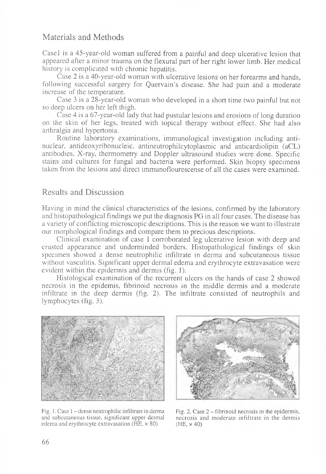# Materials and Methods

Casel is a 45-year-old woman suffered from a painful and deep ulcerative lesion that appeared after a minor trauma on the flexural part of her right lower limb. Her medical history is complicated with chronic hepatitis.

Case 2 is a 40-year-old woman with ulcerative lesions on her forearms and hands, following successful surgery for Quervain's disease. She had pain and a moderate increase of the temperature.

Case 3 is a 28-year-old woman who developed in a short time two painful but not so deep ulcers on her left thigh.

Case 4 is a 67-year-old lady that had pustular lesions and erosions of long duration on the skin of her legs, treated with topical therapy without effect. She had also arthralgia and hypertonia.

Routine laboratory examinations, immunological investigation including antinuclear, antideoxyribonucleic, antineutrophilcytoplasmic and anticardiolipin (aCL) antibodies, X-ray, thermometry and Doppler ultrasound studies were done. Specific stains and cultures for fungal and bacteria were performed. Skin biopsy specimens taken from the lesions and direct immunoflourescense of all the cases were examined.

#### Results and Discussion

Having in mind the clinical characteristics of the lesions, confirmed by the laboratory and histopathological findings we put the diagnosis PG in all four cases. The disease has a variety of conflicting microscopic descriptions. This is the reason we want to illustrate our morphological findings and compare them to precious descriptions.

Clinical examination of case 1 corroborated leg ulcerative lesion with deep and crusted appearance and underminded borders. Histopathological findings of skin specimen showed a dense neutrophilic infiltrate in derma and subcutaneous tissue without vasculitis. Significant upper dermal edema and erythrocyte extravasation were evident within the epidermis and dermis (fig. 1).

Histological examination of the recurrent ulcers on the hands of case 2 showed necrosis in the epidemis, fibrinoid necrosis in the middle dermis and a moderate infiltrate in the deep dermis (fig. 2). The infiltrate consisted of neutrophils and lymphocytes (fig. 3).



Fig. 1. Case 1 – dense neutrophilic infiltrate in derma and subcutaneous tissue, significant upper dermal edema and erythrocyte extravasation  $(HE, \times 80)$ 



Fig. 2. Case 2 - fibrinoid necrosis in the epidermis, necrosis and moderate infiltrate in the dermis (HE, x 40)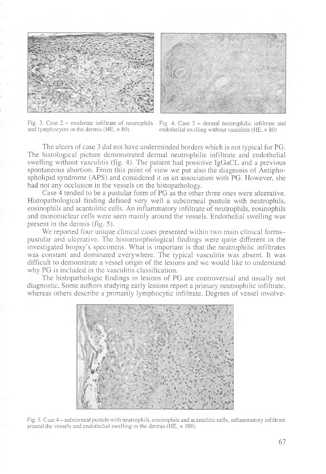



Fig. 3. Case 2 – moderate infiltrate of neurtophils Fig. 4. Case 3 – dermal neutrophilic infiltrate and and lymphocytes in the dermis (HE,  $\times$  80) endothelial swelling without vasculitis (HE,  $\times$  80)

endothelial swelling without vasculitis (HE,  $\times$  80)

The ulcers of case 3 did not have underminded borders which is not typical for PG. The histological picture demonstrated dermal neutrophilic infiltrate and endothelial swelling without vasculitis (fig. 4). The patient had possitive IgGaCL and a previous spontaneous abortion. From this point of view we put also the diagnosis of Antiphospholipid syndrome (APS) and considered it as an association with PG. However, she had not any occlusion in the vessels on the histopathology.

Case 4 tended to be a pustular form of PG as the other three ones were ulcerative. Histopathological finding defined very well a subcorneal pustule with neutrophils, eosinophils and acantolitic cells. An inflammatory infiltrate of neutrophils, eosinophils and mononuclear cells were seen mainly around the vessels. Endothelial swelling was present in the dermis (fig. 5).

We reported four unique clinical cases presented within two main clinical formspustular and ulcerative. The histomorphological findings were quite different in the investigated biopsy's specimens. What is important is that the neutrophilic infiltrates was constant and dominated everywhere. The typical vasculitis was absent. It was difficult to demonstrate a vessel origin of the lesions and we would like to understand why PG is included in the vasculitis classification.

The histopathologic findings in lesions of PG are controversial and usually not diagnostic. Some authors studying early lesions report a primary neutrophilic infiltrate, whereas others describe a primarily lymphocytic infiltrate. Degrees of vessel involve-



Fig. 5. Case 4 - subcorneal pustule with neutrophils, eosinophils and acantolitic cells, inflammatory infiltrate around the vessels and endothelial swelling in the dermis ( $HE$ ,  $\times$  100)